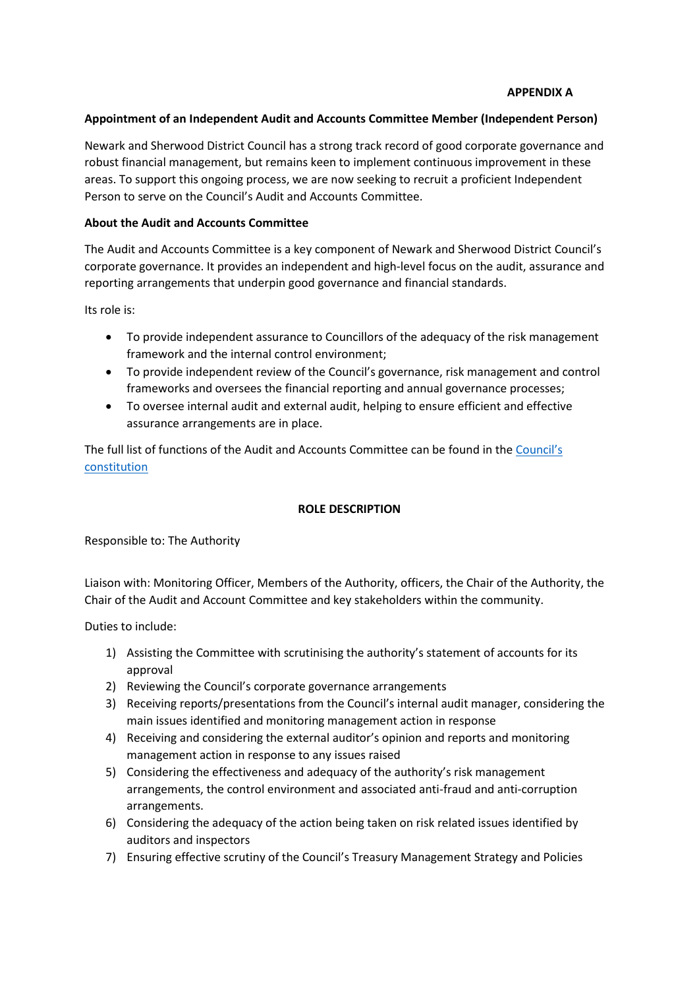#### **APPENDIX A**

#### **Appointment of an Independent Audit and Accounts Committee Member (Independent Person)**

Newark and Sherwood District Council has a strong track record of good corporate governance and robust financial management, but remains keen to implement continuous improvement in these areas. To support this ongoing process, we are now seeking to recruit a proficient Independent Person to serve on the Council's Audit and Accounts Committee.

#### **About the Audit and Accounts Committee**

The Audit and Accounts Committee is a key component of Newark and Sherwood District Council's corporate governance. It provides an independent and high-level focus on the audit, assurance and reporting arrangements that underpin good governance and financial standards.

Its role is:

- To provide independent assurance to Councillors of the adequacy of the risk management framework and the internal control environment;
- To provide independent review of the Council's governance, risk management and control frameworks and oversees the financial reporting and annual governance processes;
- To oversee internal audit and external audit, helping to ensure efficient and effective assurance arrangements are in place.

The full list of functions of the Audit and Accounts Committee can be found in the Council's [constitution](https://www.newark-sherwooddc.gov.uk/constitution/)

#### **ROLE DESCRIPTION**

Responsible to: The Authority

Liaison with: Monitoring Officer, Members of the Authority, officers, the Chair of the Authority, the Chair of the Audit and Account Committee and key stakeholders within the community.

Duties to include:

- 1) Assisting the Committee with scrutinising the authority's statement of accounts for its approval
- 2) Reviewing the Council's corporate governance arrangements
- 3) Receiving reports/presentations from the Council's internal audit manager, considering the main issues identified and monitoring management action in response
- 4) Receiving and considering the external auditor's opinion and reports and monitoring management action in response to any issues raised
- 5) Considering the effectiveness and adequacy of the authority's risk management arrangements, the control environment and associated anti-fraud and anti-corruption arrangements.
- 6) Considering the adequacy of the action being taken on risk related issues identified by auditors and inspectors
- 7) Ensuring effective scrutiny of the Council's Treasury Management Strategy and Policies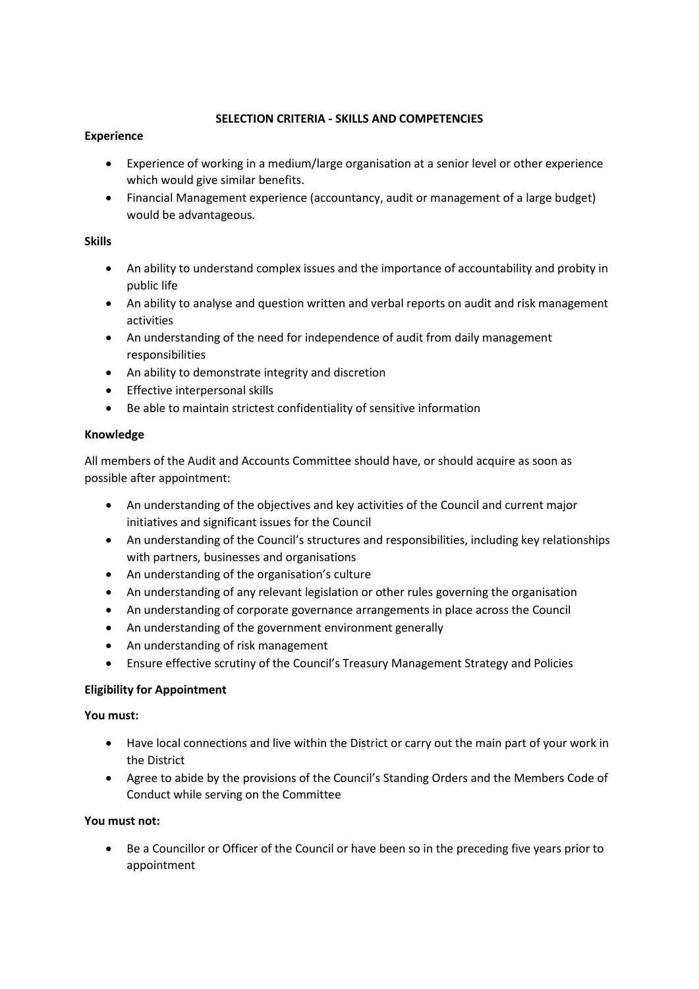# **SELECTION CRITERIA - SKILLS AND COMPETENCIES**

# **Experience**

- Experience of working in a medium/large organisation at a senior level or other experience which would give similar benefits.
- Financial Management experience (accountancy, audit or management of a large budget) would be advantageous.

## **Skills**

- An ability to understand complex issues and the importance of accountability and probity in public life
- An ability to analyse and question written and verbal reports on audit and risk management activities
- An understanding of the need for independence of audit from daily management responsibilities
- An ability to demonstrate integrity and discretion
- Effective interpersonal skills
- Be able to maintain strictest confidentiality of sensitive information

# **Knowledge**

All members of the Audit and Accounts Committee should have, or should acquire as soon as possible after appointment:

- An understanding of the objectives and key activities of the Council and current major initiatives and significant issues for the Council
- An understanding of the Council's structures and responsibilities, including key relationships with partners, businesses and organisations
- An understanding of the organisation's culture
- An understanding of any relevant legislation or other rules governing the organisation
- An understanding of corporate governance arrangements in place across the Council
- An understanding of the government environment generally
- An understanding of risk management
- Ensure effective scrutiny of the Council's Treasury Management Strategy and Policies

# **Eligibility for Appointment**

# **You must:**

- Have local connections and live within the District or carry out the main part of your work in the District
- Agree to abide by the provisions of the Council's Standing Orders and the Members Code of Conduct while serving on the Committee

# **You must not:**

 Be a Councillor or Officer of the Council or have been so in the preceding five years prior to appointment